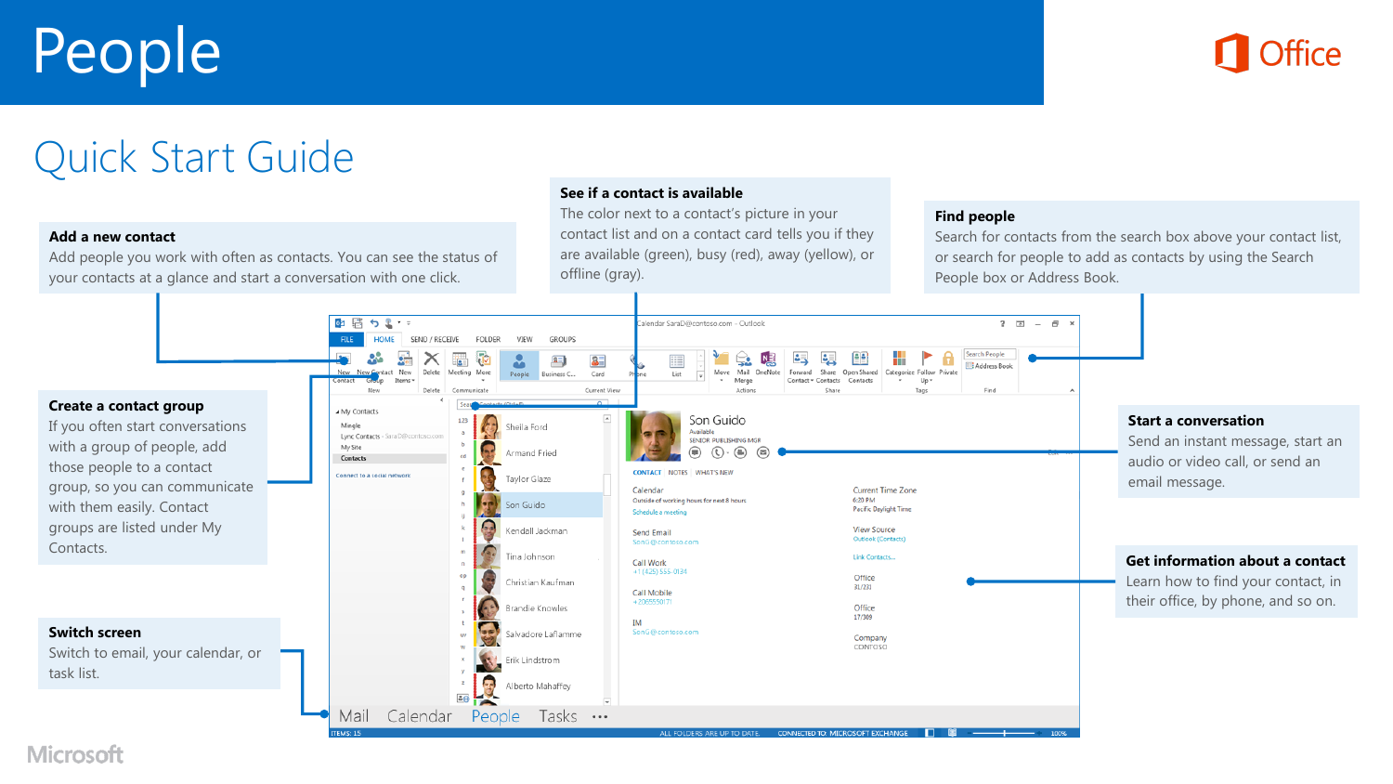# People



## Quick Start Guide

#### **Add a new contact**

Add people you work with often as contacts. You can see the status of your contacts at a glance and start a conversation with one click.

#### **See if a contact is available**

The color next to a contact's picture in your contact list and on a contact card tells you if they are available (green), busy (red), away (yellow), or offline (gray).

#### **Find people**

Search for contacts from the search box above your contact list, or search for people to add as contacts by using the Search People box or Address Book.



### **Microsoft**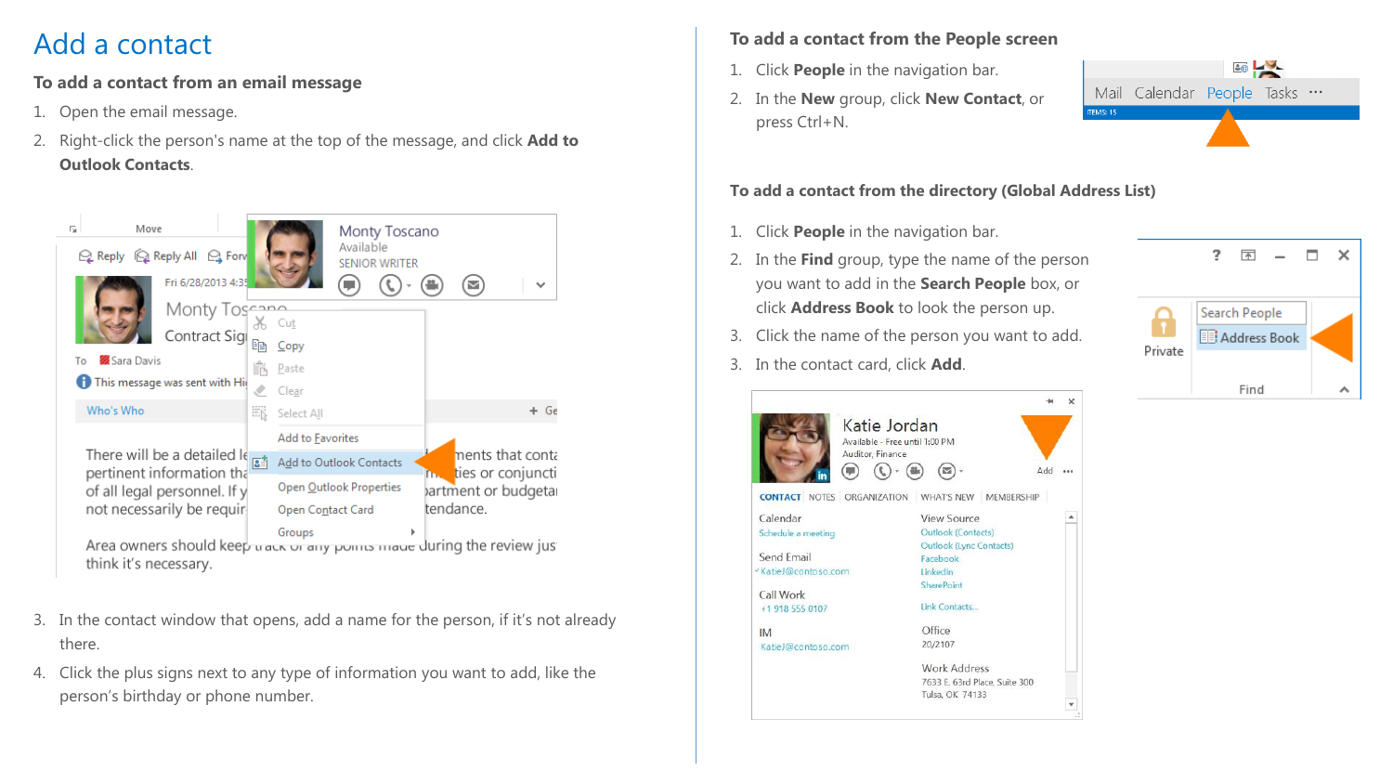### Add a contact

#### **To add a contact from an email message**

- 1. Open the email message.
- 2. Right-click the person's name at the top of the message, and click **Add to Outlook Contacts**.



- 3. In the contact window that opens, add a name for the person, if it's not already there.
- 4. Click the plus signs next to any type of information you want to add, like the person's birthday or phone number.

#### **To add a contact from the People screen**

- 1. Click **People** in the navigation bar.
- 2. In the **New** group, click **New Contact**, or press Ctrl+N.



#### **To add a contact from the directory (Global Address List)**

- 1. Click **People** in the navigation bar.
- 2. In the **Find** group, type the name of the person you want to add in the **Search People** box, or click **Address Book** to look the person up.
- 3. Click the name of the person you want to add.
- 3. In the contact card, click **Add**.



| <sup>2</sup> rivate | Search People<br><b>B</b> Address Book |  |  |  |
|---------------------|----------------------------------------|--|--|--|
|                     |                                        |  |  |  |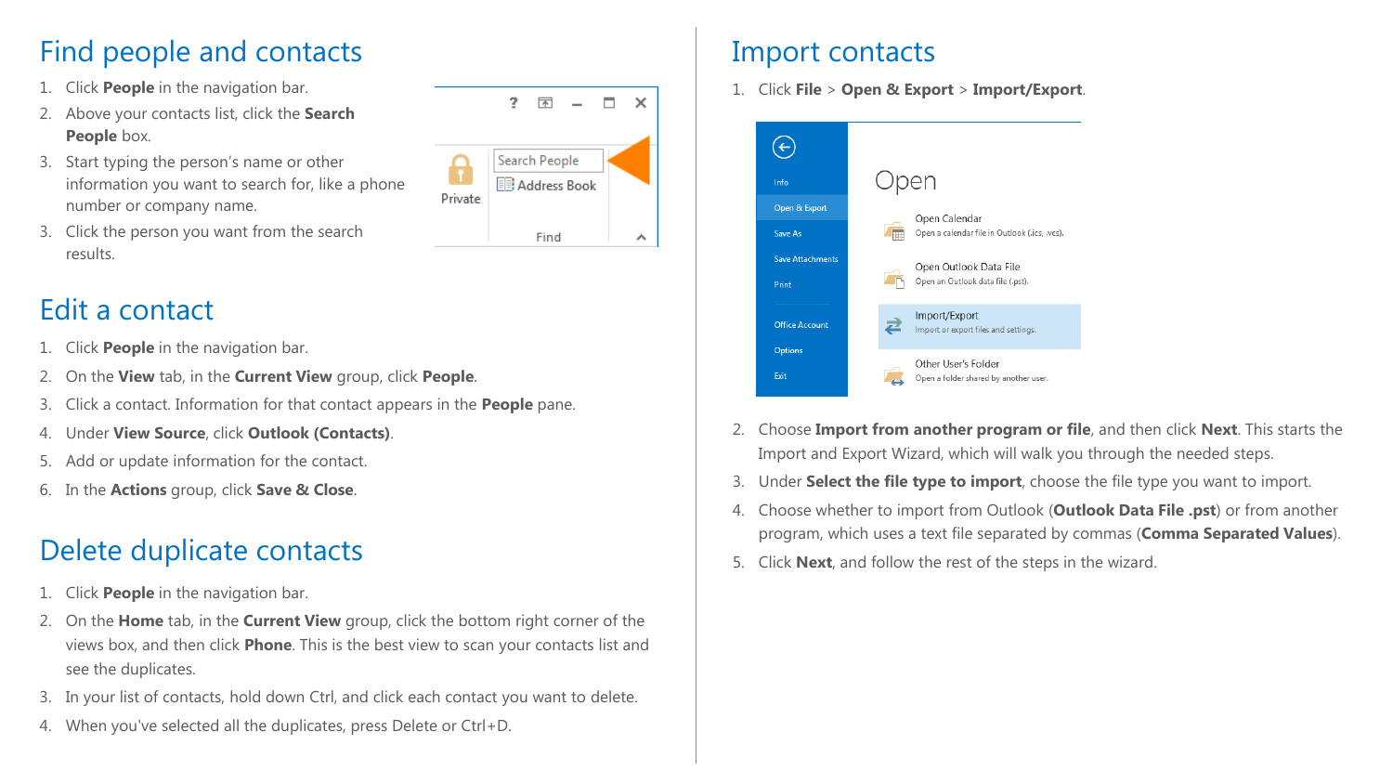### Find people and contacts

- 1. Click **People** in the navigation bar.
- 2. Above your contacts list, click the **Search People** box.
- 3. Start typing the person's name or other information you want to search for, like a phone number or company name.
- 3. Click the person you want from the search results.

### Edit a contact

- 1. Click **People** in the navigation bar.
- 2. On the **View** tab, in the **Current View** group, click **People**.
- 3. Click a contact. Information for that contact appears in the **People** pane.
- 4. Under **View Source**, click **Outlook (Contacts)**.
- 5. Add or update information for the contact.
- 6. In the **Actions** group, click **Save & Close**.

### Delete duplicate contacts

- 1. Click **People** in the navigation bar.
- 2. On the **Home** tab, in the **Current View** group, click the bottom right corner of the views box, and then click **Phone**. This is the best view to scan your contacts list and see the duplicates.
- 3. In your list of contacts, hold down Ctrl, and click each contact you want to delete.
- 4. When you've selected all the duplicates, press Delete or Ctrl+D.



### Import contacts

1. Click **File** > **Open & Export** > **Import/Export**.



- 2. Choose **Import from another program or file**, and then click **Next**. This starts the Import and Export Wizard, which will walk you through the needed steps.
- 3. Under **Select the file type to import**, choose the file type you want to import.
- 4. Choose whether to import from Outlook (**Outlook Data File .pst**) or from another program, which uses a text file separated by commas (**Comma Separated Values**).
- 5. Click **Next**, and follow the rest of the steps in the wizard.